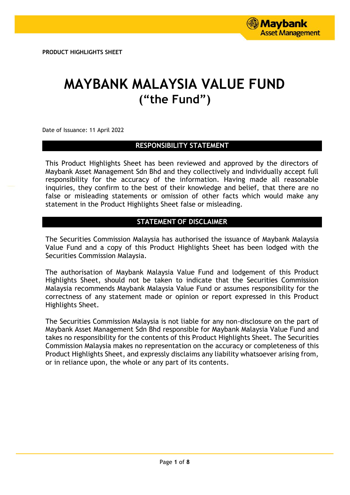# **MAYBANK MALAYSIA VALUE FUND ("the Fund")**

Date of Issuance: 11 April 2022

# **RESPONSIBILITY STATEMENT**

This Product Highlights Sheet has been reviewed and approved by the directors of Maybank Asset Management Sdn Bhd and they collectively and individually accept full responsibility for the accuracy of the information. Having made all reasonable inquiries, they confirm to the best of their knowledge and belief, that there are no false or misleading statements or omission of other facts which would make any statement in the Product Highlights Sheet false or misleading.

# **STATEMENT OF DISCLAIMER**

The Securities Commission Malaysia has authorised the issuance of Maybank Malaysia Value Fund and a copy of this Product Highlights Sheet has been lodged with the Securities Commission Malaysia.

The authorisation of Maybank Malaysia Value Fund and lodgement of this Product Highlights Sheet, should not be taken to indicate that the Securities Commission Malaysia recommends Maybank Malaysia Value Fund or assumes responsibility for the correctness of any statement made or opinion or report expressed in this Product Highlights Sheet.

The Securities Commission Malaysia is not liable for any non-disclosure on the part of Maybank Asset Management Sdn Bhd responsible for Maybank Malaysia Value Fund and takes no responsibility for the contents of this Product Highlights Sheet. The Securities Commission Malaysia makes no representation on the accuracy or completeness of this Product Highlights Sheet, and expressly disclaims any liability whatsoever arising from, or in reliance upon, the whole or any part of its contents.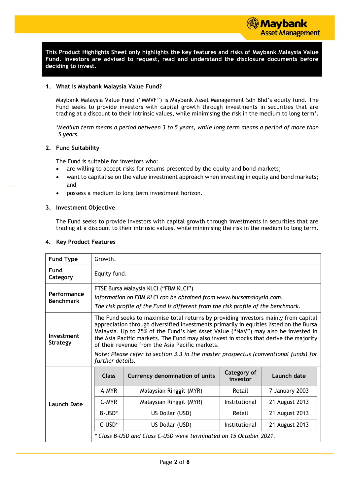**This Product Highlights Sheet only highlights the key features and risks of Maybank Malaysia Value Fund. Investors are advised to request, read and understand the disclosure documents before deciding to invest.**

#### **1. What is Maybank Malaysia Value Fund?**

Maybank Malaysia Value Fund ("MMVF") is Maybank Asset Management Sdn Bhd's equity fund. The Fund seeks to provide investors with capital growth through investments in securities that are trading at a discount to their intrinsic values, while minimising the risk in the medium to long term\*.

*\*Medium term means a period between 3 to 5 years, while long term means a period of more than 5 years.*

#### **2. Fund Suitability**

The Fund is suitable for investors who:

- are willing to accept risks for returns presented by the equity and bond markets;
- want to capitalise on the value investment approach when investing in equity and bond markets; and
- possess a medium to long term investment horizon.

#### **3. Investment Objective**

The Fund seeks to provide investors with capital growth through investments in securities that are trading at a discount to their intrinsic values, while minimising the risk in the medium to long term.

|  |  |  |  | 4. Key Product Features |
|--|--|--|--|-------------------------|
|--|--|--|--|-------------------------|

| <b>Fund Type</b>                | Growth.                                                                                                                                                                                                                                                                                                                                                                                                                                                                                                                   |                                                                                                                                                                                                   |               |                |  |  |
|---------------------------------|---------------------------------------------------------------------------------------------------------------------------------------------------------------------------------------------------------------------------------------------------------------------------------------------------------------------------------------------------------------------------------------------------------------------------------------------------------------------------------------------------------------------------|---------------------------------------------------------------------------------------------------------------------------------------------------------------------------------------------------|---------------|----------------|--|--|
| Fund<br>Category                | Equity fund.                                                                                                                                                                                                                                                                                                                                                                                                                                                                                                              |                                                                                                                                                                                                   |               |                |  |  |
| Performance<br><b>Benchmark</b> |                                                                                                                                                                                                                                                                                                                                                                                                                                                                                                                           | FTSE Bursa Malaysia KLCI ("FBM KLCI")<br>Information on FBM KLCI can be obtained from www.bursamalaysia.com.<br>The risk profile of the Fund is different from the risk profile of the benchmark. |               |                |  |  |
| Investment<br><b>Strategy</b>   | The Fund seeks to maximise total returns by providing investors mainly from capital<br>appreciation through diversified investments primarily in equities listed on the Bursa<br>Malaysia. Up to 25% of the Fund's Net Asset Value ("NAV") may also be invested in<br>the Asia Pacific markets. The Fund may also invest in stocks that derive the majority<br>of their revenue from the Asia Pacific markets.<br>Note: Please refer to section 3.3 in the master prospectus (conventional funds) for<br>further details. |                                                                                                                                                                                                   |               |                |  |  |
|                                 | Category of<br><b>Class</b><br><b>Currency denomination of units</b><br>Launch date<br>investor                                                                                                                                                                                                                                                                                                                                                                                                                           |                                                                                                                                                                                                   |               |                |  |  |
|                                 | A-MYR<br>7 January 2003<br>Malaysian Ringgit (MYR)<br>Retail                                                                                                                                                                                                                                                                                                                                                                                                                                                              |                                                                                                                                                                                                   |               |                |  |  |
| <b>Launch Date</b>              | C-MYR<br>Institutional<br>Malaysian Ringgit (MYR)<br>21 August 2013                                                                                                                                                                                                                                                                                                                                                                                                                                                       |                                                                                                                                                                                                   |               |                |  |  |
|                                 | B-USD <sup>*</sup>                                                                                                                                                                                                                                                                                                                                                                                                                                                                                                        | US Dollar (USD)                                                                                                                                                                                   | Retail        | 21 August 2013 |  |  |
|                                 | C-USD*                                                                                                                                                                                                                                                                                                                                                                                                                                                                                                                    | US Dollar (USD)                                                                                                                                                                                   | Institutional | 21 August 2013 |  |  |
|                                 |                                                                                                                                                                                                                                                                                                                                                                                                                                                                                                                           | * Class B-USD and Class C-USD were terminated on 15 October 2021.                                                                                                                                 |               |                |  |  |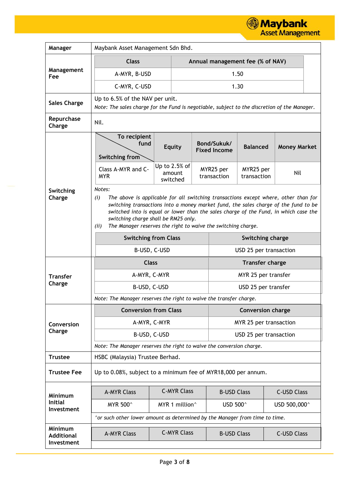**Maybank**<br>Asset Management

| Manager                                    | Maybank Asset Management Sdn Bhd.                                                                                                                                                                                                                                                                                                                                                                    |                                                                    |      |                                    |                                  |                     |  |
|--------------------------------------------|------------------------------------------------------------------------------------------------------------------------------------------------------------------------------------------------------------------------------------------------------------------------------------------------------------------------------------------------------------------------------------------------------|--------------------------------------------------------------------|------|------------------------------------|----------------------------------|---------------------|--|
|                                            | <b>Class</b>                                                                                                                                                                                                                                                                                                                                                                                         |                                                                    |      |                                    | Annual management fee (% of NAV) |                     |  |
| Management<br>Fee                          | A-MYR, B-USD                                                                                                                                                                                                                                                                                                                                                                                         |                                                                    | 1.50 |                                    |                                  |                     |  |
|                                            | C-MYR, C-USD                                                                                                                                                                                                                                                                                                                                                                                         |                                                                    |      |                                    | 1.30                             |                     |  |
| <b>Sales Charge</b>                        | Up to 6.5% of the NAV per unit.                                                                                                                                                                                                                                                                                                                                                                      |                                                                    |      |                                    |                                  |                     |  |
|                                            | Note: The sales charge for the Fund is negotiable, subject to the discretion of the Manager.                                                                                                                                                                                                                                                                                                         |                                                                    |      |                                    |                                  |                     |  |
| Repurchase<br>Charge                       | Nil.                                                                                                                                                                                                                                                                                                                                                                                                 |                                                                    |      |                                    |                                  |                     |  |
|                                            | To recipient<br>fund<br>Switching from                                                                                                                                                                                                                                                                                                                                                               | <b>Equity</b>                                                      |      | Bond/Sukuk/<br><b>Fixed Income</b> | <b>Balanced</b>                  | <b>Money Market</b> |  |
|                                            | Class A-MYR and C-<br><b>MYR</b>                                                                                                                                                                                                                                                                                                                                                                     | Up to 2.5% of<br>amount<br>switched                                |      | MYR25 per<br>transaction           | MYR25 per<br>transaction         | Nil                 |  |
| Switching<br>Charge                        | Notes:<br>The above is applicable for all switching transactions except where, other than for<br>(i)<br>switching transactions into a money market fund, the sales charge of the fund to be<br>switched into is equal or lower than the sales charge of the Fund, in which case the<br>switching charge shall be RM25 only.<br>The Manager reserves the right to waive the switching charge.<br>(ii) |                                                                    |      |                                    |                                  |                     |  |
|                                            | <b>Switching from Class</b>                                                                                                                                                                                                                                                                                                                                                                          |                                                                    |      | Switching charge                   |                                  |                     |  |
|                                            | B-USD, C-USD                                                                                                                                                                                                                                                                                                                                                                                         |                                                                    |      |                                    | USD 25 per transaction           |                     |  |
|                                            | <b>Class</b>                                                                                                                                                                                                                                                                                                                                                                                         |                                                                    |      |                                    | <b>Transfer charge</b>           |                     |  |
| <b>Transfer</b>                            | A-MYR, C-MYR                                                                                                                                                                                                                                                                                                                                                                                         |                                                                    |      |                                    | MYR 25 per transfer              |                     |  |
| Charge                                     | B-USD, C-USD                                                                                                                                                                                                                                                                                                                                                                                         |                                                                    |      |                                    | USD 25 per transfer              |                     |  |
|                                            |                                                                                                                                                                                                                                                                                                                                                                                                      | Note: The Manager reserves the right to waive the transfer charge. |      |                                    |                                  |                     |  |
|                                            | <b>Conversion from Class</b>                                                                                                                                                                                                                                                                                                                                                                         |                                                                    |      |                                    | <b>Conversion charge</b>         |                     |  |
| Conversion<br>Charge                       | A-MYR, C-MYR                                                                                                                                                                                                                                                                                                                                                                                         |                                                                    |      |                                    | MYR 25 per transaction           |                     |  |
|                                            | B-USD, C-USD                                                                                                                                                                                                                                                                                                                                                                                         |                                                                    |      |                                    | USD 25 per transaction           |                     |  |
| <b>Trustee</b>                             | Note: The Manager reserves the right to waive the conversion charge.                                                                                                                                                                                                                                                                                                                                 |                                                                    |      |                                    |                                  |                     |  |
|                                            | HSBC (Malaysia) Trustee Berhad.                                                                                                                                                                                                                                                                                                                                                                      |                                                                    |      |                                    |                                  |                     |  |
| <b>Trustee Fee</b>                         | Up to 0.08%, subject to a minimum fee of MYR18,000 per annum.                                                                                                                                                                                                                                                                                                                                        |                                                                    |      |                                    |                                  |                     |  |
| Minimum                                    | <b>A-MYR Class</b>                                                                                                                                                                                                                                                                                                                                                                                   | <b>C-MYR Class</b>                                                 |      | <b>B-USD Class</b>                 |                                  | <b>C-USD Class</b>  |  |
| <b>Initial</b><br>Investment               | MYR 500 <sup>^</sup>                                                                                                                                                                                                                                                                                                                                                                                 | MYR 1 million <sup>^</sup>                                         |      | USD 500^                           |                                  | USD 500,000^        |  |
|                                            | ^or such other lower amount as determined by the Manager from time to time.                                                                                                                                                                                                                                                                                                                          |                                                                    |      |                                    |                                  |                     |  |
| Minimum<br><b>Additional</b><br>Investment | <b>A-MYR Class</b>                                                                                                                                                                                                                                                                                                                                                                                   | <b>C-MYR Class</b>                                                 |      | <b>B-USD Class</b>                 |                                  | <b>C-USD Class</b>  |  |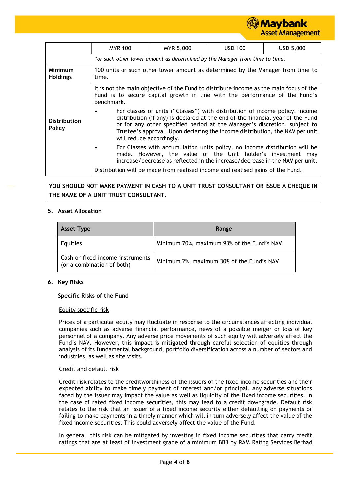# **Maybank Asset Management**

|                               | <b>MYR 100</b>                                                                                                                                                                                                                                                                                                                                                      | MYR 5,000                                                                      | <b>USD 100</b>                                                                                                                                                        | USD 5,000 |  |  |  |
|-------------------------------|---------------------------------------------------------------------------------------------------------------------------------------------------------------------------------------------------------------------------------------------------------------------------------------------------------------------------------------------------------------------|--------------------------------------------------------------------------------|-----------------------------------------------------------------------------------------------------------------------------------------------------------------------|-----------|--|--|--|
|                               |                                                                                                                                                                                                                                                                                                                                                                     |                                                                                | $\gamma$ or such other lower amount as determined by the Manager from time to time.                                                                                   |           |  |  |  |
| Minimum<br><b>Holdings</b>    | time.                                                                                                                                                                                                                                                                                                                                                               | 100 units or such other lower amount as determined by the Manager from time to |                                                                                                                                                                       |           |  |  |  |
|                               | benchmark.                                                                                                                                                                                                                                                                                                                                                          |                                                                                | It is not the main objective of the Fund to distribute income as the main focus of the<br>Fund is to secure capital growth in line with the performance of the Fund's |           |  |  |  |
| <b>Distribution</b><br>Policy | For classes of units ("Classes") with distribution of income policy, income<br>$\bullet$<br>distribution (if any) is declared at the end of the financial year of the Fund<br>or for any other specified period at the Manager's discretion, subject to<br>Trustee's approval. Upon declaring the income distribution, the NAV per unit<br>will reduce accordingly. |                                                                                |                                                                                                                                                                       |           |  |  |  |
|                               | For Classes with accumulation units policy, no income distribution will be<br>٠<br>made. However, the value of the Unit holder's investment may<br>increase/decrease as reflected in the increase/decrease in the NAV per unit.                                                                                                                                     |                                                                                |                                                                                                                                                                       |           |  |  |  |
|                               |                                                                                                                                                                                                                                                                                                                                                                     |                                                                                | Distribution will be made from realised income and realised gains of the Fund.                                                                                        |           |  |  |  |

# **YOU SHOULD NOT MAKE PAYMENT IN CASH TO A UNIT TRUST CONSULTANT OR ISSUE A CHEQUE IN THE NAME OF A UNIT TRUST CONSULTANT.**

#### **5. Asset Allocation**

| Asset Type                                                     | Range                                      |
|----------------------------------------------------------------|--------------------------------------------|
| Equities                                                       | Minimum 70%, maximum 98% of the Fund's NAV |
| Cash or fixed income instruments<br>(or a combination of both) | Minimum 2%, maximum 30% of the Fund's NAV  |

#### **6. Key Risks**

## **Specific Risks of the Fund**

#### Equity specific risk

Prices of a particular equity may fluctuate in response to the circumstances affecting individual companies such as adverse financial performance, news of a possible merger or loss of key personnel of a company. Any adverse price movements of such equity will adversely affect the Fund's NAV. However, this impact is mitigated through careful selection of equities through analysis of its fundamental background, portfolio diversification across a number of sectors and industries, as well as site visits.

#### Credit and default risk

Credit risk relates to the creditworthiness of the issuers of the fixed income securities and their expected ability to make timely payment of interest and/or principal. Any adverse situations faced by the issuer may impact the value as well as liquidity of the fixed income securities. In the case of rated fixed income securities, this may lead to a credit downgrade. Default risk relates to the risk that an issuer of a fixed income security either defaulting on payments or failing to make payments in a timely manner which will in turn adversely affect the value of the fixed income securities. This could adversely affect the value of the Fund.

In general, this risk can be mitigated by investing in fixed income securities that carry credit ratings that are at least of investment grade of a minimum BBB by RAM Rating Services Berhad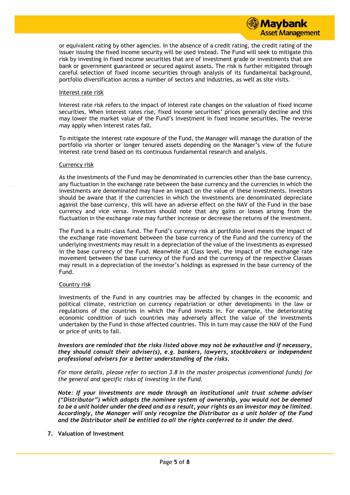

or equivalent rating by other agencies. In the absence of a credit rating, the credit rating of the issuer issuing the fixed income security will be used instead. The Fund will seek to mitigate this risk by investing in fixed income securities that are of investment grade or investments that are bank or government guaranteed or secured against assets. The risk is further mitigated through careful selection of fixed income securities through analysis of its fundamental background, portfolio diversification across a number of sectors and industries, as well as site visits.

#### Interest rate risk

Interest rate risk refers to the impact of interest rate changes on the valuation of fixed income securities. When interest rates rise, fixed income securities' prices generally decline and this may lower the market value of the Fund's investment in fixed income securities. The reverse may apply when interest rates fall.

To mitigate the interest rate exposure of the Fund, the Manager will manage the duration of the portfolio via shorter or longer tenured assets depending on the Manager's view of the future interest rate trend based on its continuous fundamental research and analysis.

#### Currency risk

As the investments of the Fund may be denominated in currencies other than the base currency, any fluctuation in the exchange rate between the base currency and the currencies in which the investments are denominated may have an impact on the value of these investments. Investors should be aware that if the currencies in which the investments are denominated depreciate against the base currency, this will have an adverse effect on the NAV of the Fund in the base currency and vice versa. Investors should note that any gains or losses arising from the fluctuation in the exchange rate may further increase or decrease the returns of the investment.

The Fund is a multi-class fund. The Fund's currency risk at portfolio level means the impact of the exchange rate movement between the base currency of the Fund and the currency of the underlying investments may result in a depreciation of the value of the investments as expressed in the base currency of the Fund. Meanwhile at Class level, the impact of the exchange rate movement between the base currency of the Fund and the currency of the respective Classes may result in a depreciation of the investor's holdings as expressed in the base currency of the Fund.

#### Country risk

Investments of the Fund in any countries may be affected by changes in the economic and political climate, restriction on currency repatriation or other developments in the law or regulations of the countries in which the Fund invests in. For example, the deteriorating economic condition of such countries may adversely affect the value of the investments undertaken by the Fund in those affected countries. This in turn may cause the NAV of the Fund or price of units to fall.

#### *Investors are reminded that the risks listed above may not be exhaustive and if necessary, they should consult their adviser(s), e.g. bankers, lawyers, stockbrokers or independent professional advisers for a better understanding of the risks.*

*For more details, please refer to section 3.8 in the master prospectus (conventional funds) for the general and specific risks of investing in the Fund.*

*Note: If your investments are made through an institutional unit trust scheme adviser ("Distributor") which adopts the nominee system of ownership, you would not be deemed to be a unit holder under the deed and as a result, your rights as an investor may be limited. Accordingly, the Manager will only recognize the Distributor as a unit holder of the Fund and the Distributor shall be entitled to all the rights conferred to it under the deed.*

#### **7. Valuation of Investment**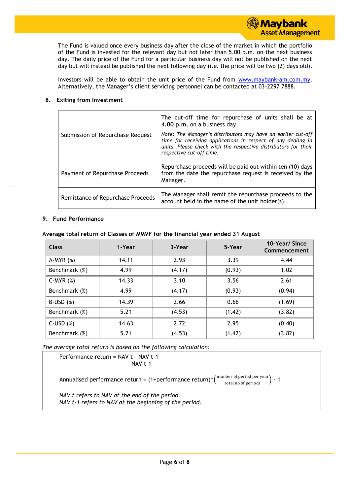The Fund is valued once every business day after the close of the market in which the portfolio of the Fund is invested for the relevant day but not later than 5.00 p.m. on the next business day. The daily price of the Fund for a particular business day will not be published on the next day but will instead be published the next following day (i.e. the price will be two (2) days old).

Investors will be able to obtain the unit price of the Fund from [www.maybank-am.com.](http://www.maybank-am.com/)my. Alternatively, the Manager's client servicing personnel can be contacted at 03-2297 7888.

# **8. Exiting from Investment**

|                                   | The cut-off time for repurchase of units shall be at<br>4.00 p.m. on a business day.                                                                                                                                       |
|-----------------------------------|----------------------------------------------------------------------------------------------------------------------------------------------------------------------------------------------------------------------------|
| Submission of Repurchase Request  | Note: The Manager's distributors may have an earlier cut-off<br>time for receiving applications in respect of any dealing in<br>units. Please check with the respective distributors for their<br>respective cut-off time. |
| Payment of Repurchase Proceeds    | Repurchase proceeds will be paid out within ten (10) days<br>from the date the repurchase request is received by the<br>Manager.                                                                                           |
| Remittance of Repurchase Proceeds | The Manager shall remit the repurchase proceeds to the<br>account held in the name of the unit holder(s).                                                                                                                  |

# **9. Fund Performance**

| <b>Class</b>    | 1-Year | 3-Year | 5-Year | 10-Year/ Since<br>Commencement |
|-----------------|--------|--------|--------|--------------------------------|
| $A-MYR(%)$      | 14.11  | 2.93   | 3.39   | 4.44                           |
| Benchmark (%)   | 4.99   | (4.17) | (0.93) | 1.02                           |
| C-MYR $(%)$     | 14.33  | 3.10   | 3.56   | 2.61                           |
| Benchmark (%)   | 4.99   | (4.17) | (0.93) | (0.94)                         |
| $B$ -USD $(%)$  | 14.39  | 2.66   | 0.66   | (1.69)                         |
| Benchmark (%)   | 5.21   | (4.53) | (1.42) | (3.82)                         |
| $C$ -USD $(\%)$ | 14.63  | 2.72   | 2.95   | (0.40)                         |
| Benchmark (%)   | 5.21   | (4.53) | (1.42) | (3.82)                         |

*The average total return is based on the following calculation:*

Performance return = NAV t – NAV t-1

NAV t-1

Annualised performance return = (1+performance return)^ $\left(\frac{\text{number of period per year}}{\text{total no. of periods}}\right)$  - 1

*NAV t refers to NAV at the end of the period. NAV t-1 refers to NAV at the beginning of the period.*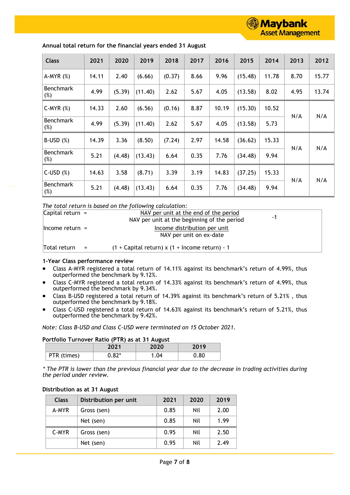

| <b>Class</b>               | 2021  | 2020   | 2019    | 2018   | 2017 | 2016  | 2015    | 2014  | 2013 | 2012  |
|----------------------------|-------|--------|---------|--------|------|-------|---------|-------|------|-------|
| $A-MYR(%)$                 | 14.11 | 2.40   | (6.66)  | (0.37) | 8.66 | 9.96  | (15.48) | 11.78 | 8.70 | 15.77 |
| <b>Benchmark</b><br>(%)    | 4.99  | (5.39) | (11.40) | 2.62   | 5.67 | 4.05  | (13.58) | 8.02  | 4.95 | 13.74 |
| $C-MYR(%)$                 | 14.33 | 2.60   | (6.56)  | (0.16) | 8.87 | 10.19 | (15.30) | 10.52 |      |       |
| <b>Benchmark</b><br>$(\%)$ | 4.99  | (5.39) | (11.40) | 2.62   | 5.67 | 4.05  | (13.58) | 5.73  | N/A  | N/A   |
| $B$ -USD $(%)$             | 14.39 | 3.36   | (8.50)  | (7.24) | 2.97 | 14.58 | (36.62) | 15.33 |      |       |
| <b>Benchmark</b><br>$(\%)$ | 5.21  | (4.48) | (13.43) | 6.64   | 0.35 | 7.76  | (34.48) | 9.94  | N/A  | N/A   |
| $C$ -USD $(%)$             | 14.63 | 3.58   | (8.71)  | 3.39   | 3.19 | 14.83 | (37.25) | 15.33 |      |       |
| <b>Benchmark</b><br>(%)    | 5.21  | (4.48) | (13.43) | 6.64   | 0.35 | 7.76  | (34.48) | 9.94  | N/A  | N/A   |

#### **Annual total return for the financial years ended 31 August**

*The total return is based on the following calculation:*

| Capital return $=$  | NAV per unit at the end of the period                   |    |  |
|---------------------|---------------------------------------------------------|----|--|
|                     | NAV per unit at the beginning of the period             | -1 |  |
| $l$ ncome return =  | Income distribution per unit<br>NAV per unit on ex-date |    |  |
| Total return<br>$=$ | $(1 +$ Capital return) x $(1 +$ Income return) - 1      |    |  |

#### **1-Year Class performance review**

- Class A-MYR registered a total return of 14.11% against its benchmark's return of 4.99%, thus outperformed the benchmark by 9.12%.
- Class C-MYR registered a total return of 14.33% against its benchmark's return of 4.99%, thus outperformed the benchmark by 9.34%.
- Class B-USD registered a total return of 14.39% against its benchmark's return of 5.21% , thus outperformed the benchmark by 9.18%.
- Class C-USD registered a total return of 14.63% against its benchmark's return of 5.21%, thus outperformed the benchmark by 9.42%.

## *Note: Class B-USD and Class C-USD were terminated on 15 October 2021.*

#### **Portfolio Turnover Ratio (PTR) as at 31 August**

|             | 2021    | 2020 | 2019 |
|-------------|---------|------|------|
| PTR (times) | $0.82*$ | 1.04 | 0.80 |

*\* The PTR is lower than the previous financial year due to the decrease in trading activities during the period under review.*

| <b>Class</b> | Distribution per unit | 2021 | 2020 | 2019 |
|--------------|-----------------------|------|------|------|
| A-MYR        | Gross (sen)           | 0.85 | Nil  | 2.00 |
|              | Net (sen)             | 0.85 | Nil  | 1.99 |
| C-MYR        | Gross (sen)           | 0.95 | Nil  | 2.50 |
|              | Net (sen)             | 0.95 | Nil  | 2.49 |

## **Distribution as at 31 August**